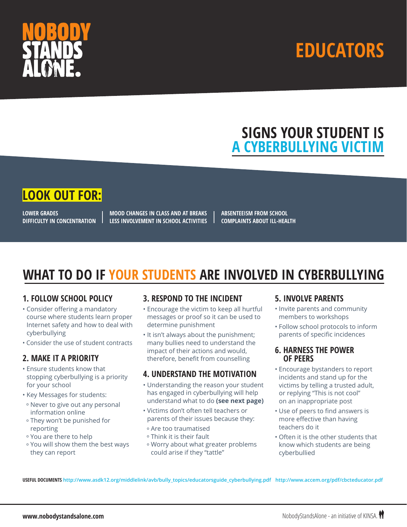



## **SIGNS YOUR STUDENT IS A CYBERBULLYING VICTIM**

### **LOOK OUT FOR:**

**LOWER GRADES DIFFICULTY IN CONCENTRATION**

**MOOD CHANGES IN CLASS AND AT BREAKS LESS INVOLVEMENT IN SCHOOL ACTIVITIES** **ABSENTEEISM FROM SCHOOL COMPLAINTS ABOUT ILL-HEALTH**

## **WHAT TO DO IF YOUR STUDENTS ARE INVOLVED IN CYBERBULLYING**

### **1. FOLLOW SCHOOL POLICY**

- Consider offering a mandatory course where students learn proper Internet safety and how to deal with cyberbullying
- Consider the use of student contracts

### **2. MAKE IT A PRIORITY**

- Ensure students know that stopping cyberbullying is a priority for your school
- Key Messages for students:
- º Never to give out any personal information online
- º They won't be punished for reporting
- º You are there to help
- º You will show them the best ways they can report

### **3. RESPOND TO THE INCIDENT**

- Encourage the victim to keep all hurtful messages or proof so it can be used to determine punishment
- It isn't always about the punishment; many bullies need to understand the impact of their actions and would, therefore, benefit from counselling

### **4. UNDERSTAND THE MOTIVATION**

- Understanding the reason your student has engaged in cyberbullying will help understand what to do **(see next page)**
- Victims don't often tell teachers or parents of their issues because they:
- º Are too traumatised
- º Think it is their fault
- º Worry about what greater problems could arise if they "tattle"

### **5. INVOLVE PARENTS**

- Invite parents and community members to workshops
- Follow school protocols to inform parents of specific incidences

#### **6. HARNESS THE POWER OF PEERS**

- Encourage bystanders to report incidents and stand up for the victims by telling a trusted adult, or replying "This is not cool" on an inappropriate post
- Use of peers to find answers is more effective than having teachers do it
- Often it is the other students that know which students are being cyberbullied

**USEFUL DOCUMENTS http://www.asdk12.org/middlelink/avb/bully\_topics/educatorsguide\_cyberbullying.pdf http://www.accem.org/pdf/cbcteducator.pdf**